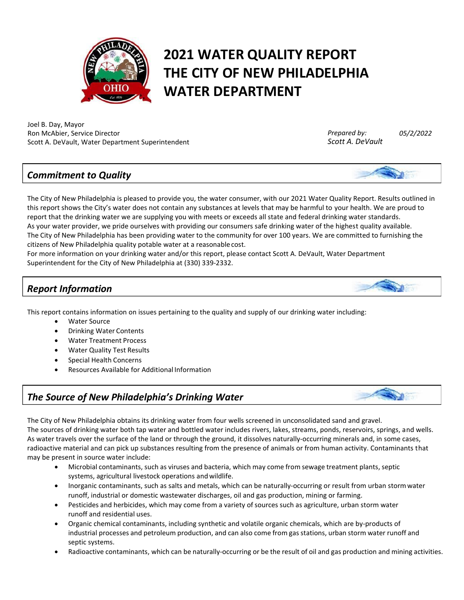

# **2021 WATER QUALITY REPORT THE CITY OF NEW PHILADELPHIA WATER DEPARTMENT**

Joel B. Day, Mayor Ron McAbier, Service Director Scott A. DeVault, Water Department Superintendent

*Prepared by: Scott A. DeVault* *05/2/2022*

## *Commitment to Quality*



The City of New Philadelphia is pleased to provide you, the water consumer, with our 2021 Water Quality Report. Results outlined in this report shows the City's water does not contain any substances at levels that may be harmful to your health. We are proud to report that the drinking water we are supplying you with meets or exceeds all state and federal drinking water standards. As your water provider, we pride ourselves with providing our consumers safe drinking water of the highest quality available. The City of New Philadelphia has been providing water to the community for over 100 years. We are committed to furnishing the citizens of New Philadelphia quality potable water at a reasonablecost.

For more information on your drinking water and/or this report, please contact Scott A. DeVault, Water Department Superintendent for the City of New Philadelphia at (330) 339‐2332.

# *Report Information*

This report contains information on issues pertaining to the quality and supply of our drinking water including:

- Water Source
- Drinking Water Contents
- Water Treatment Process
- Water Quality Test Results
- Special Health Concerns
- Resources Available for Additional Information

# *The Source of New Philadelphia's Drinking Water*



The City of New Philadelphia obtains its drinking water from four wells screened in unconsolidated sand and gravel. The sources of drinking water both tap water and bottled water includes rivers, lakes, streams, ponds, reservoirs, springs, and wells. As water travels over the surface of the land or through the ground, it dissolves naturally‐occurring minerals and, in some cases, radioactive material and can pick up substances resulting from the presence of animals or from human activity. Contaminants that may be present in source water include:

- Microbial contaminants, such as viruses and bacteria, which may come from sewage treatment plants, septic systems, agricultural livestock operations andwildlife.
- Inorganic contaminants, such as salts and metals, which can be naturally‐occurring or result from urban stormwater runoff, industrial or domestic wastewater discharges, oil and gas production, mining or farming.
- Pesticides and herbicides, which may come from a variety of sources such as agriculture, urban storm water runoff and residential uses.
- Organic chemical contaminants, including synthetic and volatile organic chemicals, which are by‐products of industrial processes and petroleum production, and can also come from gas stations, urban storm water runoff and septic systems.
- Radioactive contaminants, which can be naturally-occurring or be the result of oil and gas production and mining activities.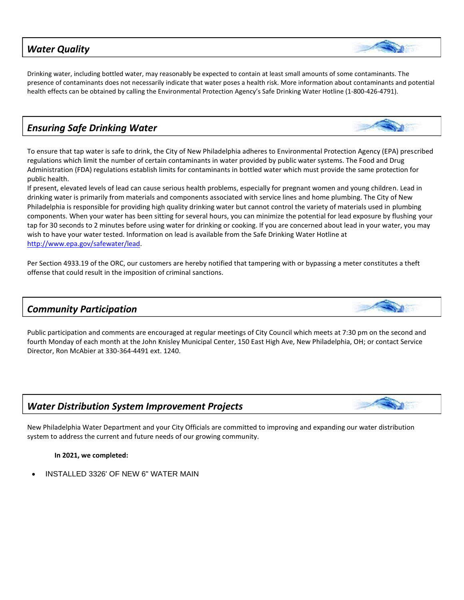#### *Water Quality*

Drinking water, including bottled water, may reasonably be expected to contain at least small amounts of some contaminants. The presence of contaminants does not necessarily indicate that water poses a health risk. More information about contaminants and potential health effects can be obtained by calling the Environmental Protection Agency's Safe Drinking Water Hotline (1‐800‐426‐4791).

# *Ensuring Safe Drinking Water*

To ensure that tap water is safe to drink, the City of New Philadelphia adheres to Environmental Protection Agency (EPA) prescribed regulations which limit the number of certain contaminants in water provided by public water systems. The Food and Drug Administration (FDA) regulations establish limits for contaminants in bottled water which must provide the same protection for public health.

If present, elevated levels of lead can cause serious health problems, especially for pregnant women and young children. Lead in drinking water is primarily from materials and components associated with service lines and home plumbing. The City of New Philadelphia is responsible for providing high quality drinking water but cannot control the variety of materials used in plumbing components. When your water has been sitting for several hours, you can minimize the potential for lead exposure by flushing your tap for 30 seconds to 2 minutes before using water for drinking or cooking. If you are concerned about lead in your water, you may wish to have your water tested. Information on lead is available from the Safe Drinking Water Hotline at [http://www.epa.gov/safewater/lead.](http://www.epa.gov/safewater/lead)

Per Section 4933.19 of the ORC, our customers are hereby notified that tampering with or bypassing a meter constitutes a theft offense that could result in the imposition of criminal sanctions.

## *Community Participation*

Public participation and comments are encouraged at regular meetings of City Council which meets at 7:30 pm on the second and fourth Monday of each month at the John Knisley Municipal Center, 150 East High Ave, New Philadelphia, OH; or contact Service Director, Ron McAbier at 330-364-4491 ext. 1240.

## *Water Distribution System Improvement Projects*

New Philadelphia Water Department and your City Officials are committed to improving and expanding our water distribution system to address the current and future needs of our growing community.

#### **In 2021, we completed:**

• INSTALLED 3326' OF NEW 6" WATER MAIN





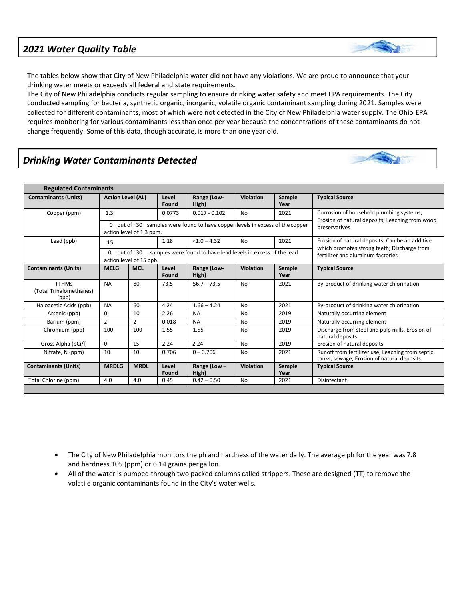#### *2021 Water Quality Table*



The tables below show that City of New Philadelphia water did not have any violations. We are proud to announce that your drinking water meets or exceeds all federal and state requirements.

The City of New Philadelphia conducts regular sampling to ensure drinking water safety and meet EPA requirements. The City conducted sampling for bacteria, synthetic organic, inorganic, volatile organic contaminant sampling during 2021. Samples were collected for different contaminants, most of which were not detected in the City of New Philadelphia water supply. The Ohio EPA requires monitoring for various contaminants less than once per year because the concentrations of these contaminants do not change frequently. Some of this data, though accurate, is more than one year old.

## *Drinking Water Contaminants Detected*

| <b>Regulated Contaminants</b>                    |                                                                                                          |             |                |                       |                  |                |                                                                                                |
|--------------------------------------------------|----------------------------------------------------------------------------------------------------------|-------------|----------------|-----------------------|------------------|----------------|------------------------------------------------------------------------------------------------|
| <b>Contaminants (Units)</b>                      | <b>Action Level (AL)</b>                                                                                 |             | Level<br>Found | Range (Low-<br>High)  | Violation        | Sample<br>Year | <b>Typical Source</b>                                                                          |
| Copper (ppm)                                     | 1.3                                                                                                      |             | 0.0773         | $0.017 - 0.102$       | <b>No</b>        | 2021           | Corrosion of household plumbing systems;<br>Erosion of natural deposits; Leaching from wood    |
|                                                  | 0 out of 30 samples were found to have copper levels in excess of the copper<br>action level of 1.3 ppm. |             |                |                       |                  |                | preservatives                                                                                  |
| Lead (ppb)                                       | 15                                                                                                       |             | 1.18           | $< 1.0 - 4.32$        | <b>No</b>        | 2021           | Erosion of natural deposits; Can be an additive<br>which promotes strong teeth; Discharge from |
|                                                  | out of 30 samples were found to have lead levels in excess of the lead<br>0<br>action level of 15 ppb.   |             |                |                       |                  |                | fertilizer and aluminum factories                                                              |
| <b>Contaminants (Units)</b>                      | <b>MCLG</b>                                                                                              | <b>MCL</b>  | Level<br>Found | Range (Low-<br>High)  | Violation        | Sample<br>Year | <b>Typical Source</b>                                                                          |
| <b>TTHMs</b><br>(Total Trihalomethanes)<br>(ppb) | <b>NA</b>                                                                                                | 80          | 73.5           | $56.7 - 73.5$         | <b>No</b>        | 2021           | By-product of drinking water chlorination                                                      |
| Haloacetic Acids (ppb)                           | <b>NA</b>                                                                                                | 60          | 4.24           | $1.66 - 4.24$         | <b>No</b>        | 2021           | By-product of drinking water chlorination                                                      |
| Arsenic (ppb)                                    | $\Omega$                                                                                                 | 10          | 2.26           | <b>NA</b>             | <b>No</b>        | 2019           | Naturally occurring element                                                                    |
| Barium (ppm)                                     | $\overline{2}$                                                                                           | 2           | 0.018          | <b>NA</b>             | <b>No</b>        | 2019           | Naturally occurring element                                                                    |
| Chromium (ppb)                                   | 100                                                                                                      | 100         | 1.55           | 1.55                  | No               | 2019           | Discharge from steel and pulp mills. Erosion of<br>natural deposits                            |
| Gross Alpha (pCi/l)                              | $\Omega$                                                                                                 | 15          | 2.24           | 2.24                  | <b>No</b>        | 2019           | Erosion of natural deposits                                                                    |
| Nitrate, N (ppm)                                 | 10                                                                                                       | 10          | 0.706          | $0 - 0.706$           | No               | 2021           | Runoff from fertilizer use; Leaching from septic<br>tanks, sewage; Erosion of natural deposits |
| <b>Contaminants (Units)</b>                      | <b>MRDLG</b>                                                                                             | <b>MRDL</b> | Level<br>Found | Range (Low -<br>High) | <b>Violation</b> | Sample<br>Year | <b>Typical Source</b>                                                                          |
| Total Chlorine (ppm)                             | 4.0                                                                                                      | 4.0         | 0.45           | $0.42 - 0.50$         | No               | 2021           | Disinfectant                                                                                   |

- The City of New Philadelphia monitors the ph and hardness of the water daily. The average ph for the year was 7.8 and hardness 105 (ppm) or 6.14 grains per gallon.
- All of the water is pumped through two packed columns called strippers. These are designed (TT) to remove the volatile organic contaminants found in the City's water wells.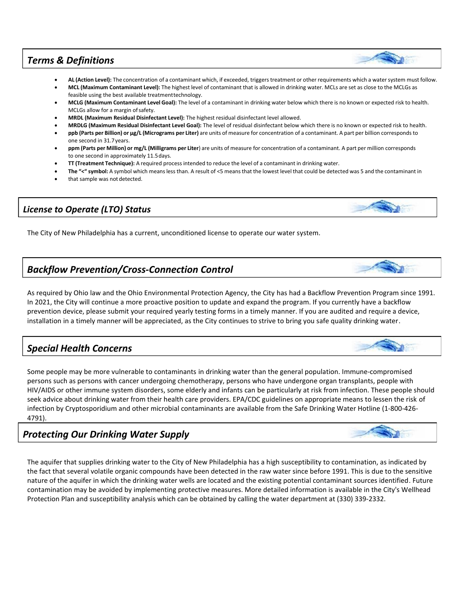#### *Terms & Definitions*

- **AL (Action Level):** The concentration of a contaminant which, if exceeded, triggerstreatment or other requirements which a watersystem must follow.
- **MCL (Maximum Contaminant Level):** The highest level of contaminant that is allowed in drinking water. MCLs are set as close to the MCLGs as feasible using the best available treatmenttechnology.
- **MCLG (Maximum Contaminant Level Goal):** The level of a contaminant in drinking water below which there is no known or expected risk to health. MCLGs allow for a margin of safety.
- **MRDL (Maximum Residual Disinfectant Level):** The highest residual disinfectant level allowed.
- **MRDLG (Maximum Residual Disinfectant Level Goal):** The level of residual disinfectant below which there is no known or expected risk to health.
- **ppb (Parts per Billion) or μg/L (Micrograms per Liter)** are units of measure for concentration of a contaminant. A part per billion corresponds to one second in 31.7years.
- **ppm (Parts per Million) or mg/L (Milligrams per Liter**) are units of measure for concentration of a contaminant. A part per million corresponds to one second in approximately 11.5days.
- **TT (Treatment Technique):** A required process intended to reduce the level of a contaminant in drinking water.
- **The "<" symbol:** A symbol which meansless than. A result of <5 meansthat the lowest level that could be detected was 5 and the contaminant in
- that sample was not detected.

#### *License to Operate (LTO) Status*

The City of New Philadelphia has a current, unconditioned license to operate our water system.

#### *Backflow Prevention/Cross‐Connection Control*

As required by Ohio law and the Ohio Environmental Protection Agency, the City has had a Backflow Prevention Program since 1991. In 2021, the City will continue a more proactive position to update and expand the program. If you currently have a backflow prevention device, please submit your required yearly testing forms in a timely manner. If you are audited and require a device, installation in a timely manner will be appreciated, as the City continues to strive to bring you safe quality drinking water.

#### *Special Health Concerns*

Some people may be more vulnerable to contaminants in drinking water than the general population. Immune‐compromised persons such as persons with cancer undergoing chemotherapy, persons who have undergone organ transplants, people with HIV/AIDS or other immune system disorders, some elderly and infants can be particularly at risk from infection. These people should seek advice about drinking water from their health care providers. EPA/CDC guidelines on appropriate means to lessen the risk of infection by Cryptosporidium and other microbial contaminants are available from the Safe Drinking Water Hotline (1‐800‐426‐ 4791).

## *Protecting Our Drinking Water Supply*

The aquifer that supplies drinking water to the City of New Philadelphia has a high susceptibility to contamination, as indicated by the fact that several volatile organic compounds have been detected in the raw water since before 1991. This is due to the sensitive nature of the aquifer in which the drinking water wells are located and the existing potential contaminant sources identified. Future contamination may be avoided by implementing protective measures. More detailed information is available in the City's Wellhead Protection Plan and susceptibility analysis which can be obtained by calling the water department at (330) 339‐2332.